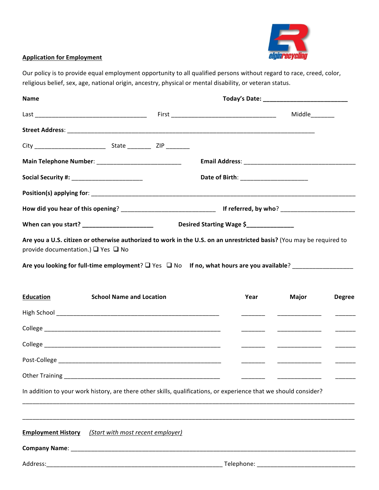

## **Application for Employment**

Our policy is to provide equal employment opportunity to all qualified persons without regard to race, creed, color, religious belief, sex, age, national origin, ancestry, physical or mental disability, or veteran status.

| <b>Name</b>                                                                                                                                                |                                 |                          |  |               |                          |               |  |
|------------------------------------------------------------------------------------------------------------------------------------------------------------|---------------------------------|--------------------------|--|---------------|--------------------------|---------------|--|
|                                                                                                                                                            |                                 |                          |  | Middle_______ |                          |               |  |
|                                                                                                                                                            |                                 |                          |  |               |                          |               |  |
|                                                                                                                                                            |                                 |                          |  |               |                          |               |  |
|                                                                                                                                                            |                                 |                          |  |               |                          |               |  |
|                                                                                                                                                            |                                 |                          |  |               |                          |               |  |
|                                                                                                                                                            |                                 |                          |  |               |                          |               |  |
|                                                                                                                                                            |                                 |                          |  |               |                          |               |  |
| When can you start? _______________________                                                                                                                |                                 | Desired Starting Wage \$ |  |               |                          |               |  |
| Are you a U.S. citizen or otherwise authorized to work in the U.S. on an unrestricted basis? (You may be required to<br>provide documentation.) □ Yes □ No |                                 |                          |  |               |                          |               |  |
| Are you looking for full-time employment? $\square$ Yes $\square$ No If no, what hours are you available?                                                  |                                 |                          |  |               |                          |               |  |
| <b>Education</b>                                                                                                                                           | <b>School Name and Location</b> |                          |  | Year          | Major                    | <b>Degree</b> |  |
|                                                                                                                                                            |                                 |                          |  |               |                          | $\frac{1}{1}$ |  |
|                                                                                                                                                            |                                 |                          |  |               | ________________________ |               |  |
|                                                                                                                                                            |                                 |                          |  |               |                          |               |  |
|                                                                                                                                                            |                                 |                          |  |               |                          |               |  |
| <b>Other Training</b>                                                                                                                                      |                                 |                          |  |               |                          |               |  |
| In addition to your work history, are there other skills, qualifications, or experience that we should consider?                                           |                                 |                          |  |               |                          |               |  |
|                                                                                                                                                            |                                 |                          |  |               |                          |               |  |
| <b>Employment History</b> (Start with most recent employer)                                                                                                |                                 |                          |  |               |                          |               |  |
|                                                                                                                                                            |                                 |                          |  |               |                          |               |  |
| Address:                                                                                                                                                   |                                 |                          |  |               |                          |               |  |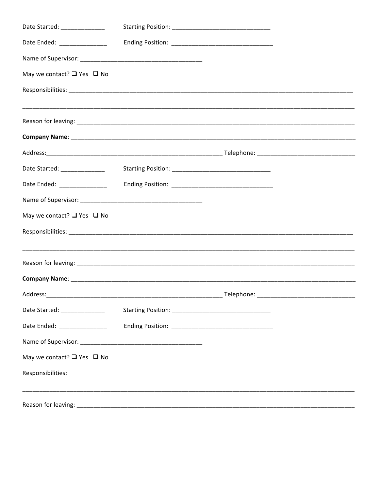| Date Started: ______________                                                                                                                                                                                                   |  |  |
|--------------------------------------------------------------------------------------------------------------------------------------------------------------------------------------------------------------------------------|--|--|
| Date Ended: ________________                                                                                                                                                                                                   |  |  |
|                                                                                                                                                                                                                                |  |  |
| May we contact? $\Box$ Yes $\Box$ No                                                                                                                                                                                           |  |  |
|                                                                                                                                                                                                                                |  |  |
|                                                                                                                                                                                                                                |  |  |
|                                                                                                                                                                                                                                |  |  |
|                                                                                                                                                                                                                                |  |  |
| Date Started: _______________                                                                                                                                                                                                  |  |  |
| Date Ended: ________________                                                                                                                                                                                                   |  |  |
|                                                                                                                                                                                                                                |  |  |
| May we contact? □ Yes □ No                                                                                                                                                                                                     |  |  |
|                                                                                                                                                                                                                                |  |  |
|                                                                                                                                                                                                                                |  |  |
|                                                                                                                                                                                                                                |  |  |
|                                                                                                                                                                                                                                |  |  |
| Date Started: ______________                                                                                                                                                                                                   |  |  |
| Date Ended: ________________                                                                                                                                                                                                   |  |  |
|                                                                                                                                                                                                                                |  |  |
| May we contact? $\Box$ Yes $\Box$ No                                                                                                                                                                                           |  |  |
|                                                                                                                                                                                                                                |  |  |
|                                                                                                                                                                                                                                |  |  |
| Reason for leaving: The contract of the contract of the contract of the contract of the contract of the contract of the contract of the contract of the contract of the contract of the contract of the contract of the contra |  |  |